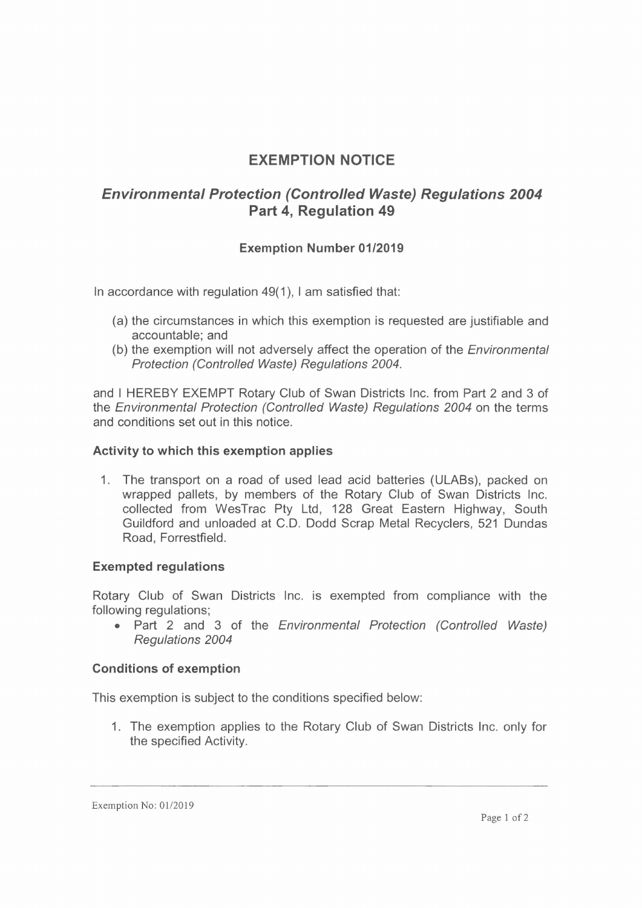# **EXEMPTION NOTICE**

# *Environmental Protection (Controlled Waste) Regulations 2004* **Part 4, Regulation 49**

# **Exemption Number 01/2019**

In accordance with regulation 49(1), <sup>I</sup> am satisfied that:

- (a) the circumstances in which this exemption is requested are justifiable and accountable; and
- (b) the exemption will not adversely affect the operation of the *Environmental Protection (Controlled Waste) Regulations 2004.*

and <sup>I</sup> HEREBY EXEMPT Rotary Club of Swan Districts Inc. from Part 2 and 3 of the *Environmental Protection (Controlled Waste) Regulations 2004* on the terms and conditions set out in this notice.

### **Activity to which this exemption applies**

1. The transport on a road of used lead acid batteries (ULABs), packed on wrapped pallets, by members of the Rotary Club of Swan Districts Inc. collected from WesTrac Pty Ltd, 128 Great Eastern Highway, South Guildford and unloaded at C.D. Dodd Scrap Metal Recyclers, 521 Dundas Road, Forrestfield.

## **Exempted regulations**

Rotary Club of Swan Districts Inc. is exempted from compliance with the following regulations;

• Part 2 and 3 of the *Environmental Protection (Controlled Waste) Regulations 2004*

### **Conditions of exemption**

This exemption is subject to the conditions specified below:

1. The exemption applies to the Rotary Club of Swan Districts Inc. only for the specified Activity.

Exemption No: 01/2019